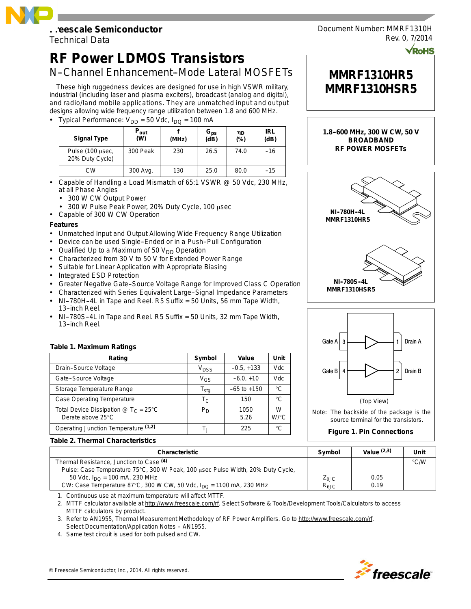## **Freescale Semiconductor**

Technical Data

# **RF Power LDMOS Transistors**

# N-Channel Enhancement-Mode Lateral MOSFETs

These high ruggedness devices are designed for use in high VSWR military, industrial (including laser and plasma exciters), broadcast (analog and digital), and radio/land mobile applications. They are unmatched input and output designs allowing wide frequency range utilization between 1.8 and 600 MHz.

• Typical Performance:  $V_{DD} = 50$  Vdc,  $I_{DO} = 100$  mA

| <b>Signal Type</b>                  | $P_{\mathsf{out}}$<br>(W) | (MHz) | $G_{\text{ps}}$<br>(dB) | ηD<br>$(\% )$ | <b>IRL</b><br>(dB) |
|-------------------------------------|---------------------------|-------|-------------------------|---------------|--------------------|
| Pulse (100 usec,<br>20% Duty Cycle) | 300 Peak                  | 230   | 26.5                    | 74.0          | $-16$              |
| СW                                  | 300 Avg.                  | 130   | 25.0                    | 80.0          | $-15$              |

- Capable of Handling a Load Mismatch of 65:1 VSWR @ 50 Vdc, 230 MHz, at all Phase Angles
	- 300 W CW Output Power
	- 300 W Pulse Peak Power, 20% Duty Cycle, 100 usec
- Capable of 300 W CW Operation

## **Features**

- Unmatched Input and Output Allowing Wide Frequency Range Utilization
- Device can be used Single-Ended or in a Push-Pull Configuration
- Qualified Up to a Maximum of 50  $V_{DD}$  Operation
- Characterized from 30 V to 50 V for Extended Power Range
- Suitable for Linear Application with Appropriate Biasing
- Integrated ESD Protection
- Greater Negative Gate-Source Voltage Range for Improved Class C Operation
- Characterized with Series Equivalent Large--Signal Impedance Parameters NI--780H--4L in Tape and Reel. R5 Suffix = 50 Units, 56 mm Tape Width,
- 13-inch Reel.
- NI--780S--4L in Tape and Reel. R5 Suffix = 50 Units, 32 mm Tape Width, 13-inch Reel.

## **Table 1. Maximum Ratings**

| Rating                                                                                             | Symbol                      | Value           | Unit      |
|----------------------------------------------------------------------------------------------------|-----------------------------|-----------------|-----------|
| Drain-Source Voltage                                                                               | V <sub>DSS</sub>            | $-0.5, +133$    | Vdc       |
| Gate-Source Voltage                                                                                | V <sub>GS</sub>             | $-6.0, +10$     | Vdc       |
| Storage Temperature Range                                                                          | $\mathsf{T}_{\mathsf{stg}}$ | $-65$ to $+150$ | °C        |
| <b>Case Operating Temperature</b>                                                                  | T <sub>C</sub>              | 150             | °C        |
| Total Device Dissipation $\textcircled{2}$ T <sub>C</sub> = 25 <sup>°</sup> C<br>Derate above 25°C | $P_D$                       | 1050<br>5.26    | W<br>W/°C |
| Operating Junction Temperature (1,2)                                                               | Т.                          | 225             | °C        |

#### **Table 2. Thermal Characteristics**

| <b>Characteristic</b>                                                                    | Symbol                 | Value $(2,3)$ | Unit          |
|------------------------------------------------------------------------------------------|------------------------|---------------|---------------|
| Thermal Resistance, Junction to Case (4)                                                 |                        |               | $\degree$ C/W |
| Pulse: Case Temperature 75°C, 300 W Peak, 100 usec Pulse Width, 20% Duty Cycle,          |                        |               |               |
| 50 Vdc, $I_{\text{DO}}$ = 100 mA, 230 MHz                                                | $Z_{\theta \text{JC}}$ | 0.05          |               |
| CW: Case Temperature 87°C, 300 W CW, 50 Vdc, $I_{\text{DO}} = 1100 \text{ mA}$ , 230 MHz | $R_{\theta$ JC         | 0.19          |               |

1. Continuous use at maximum temperature will affect MTTF.

2. MTTF calculator available at http://www.freescale.com/rf. Select Software & Tools/Development Tools/Calculators to access MTTF calculators by product.

3. Refer to AN1955, *Thermal Measurement Methodology of RF Power Amplifiers.* Go to http://www.freescale.com/rf. Select Documentation/Application Notes - AN1955.

4. Same test circuit is used for both pulsed and CW.



Document Number: MMRF1310H Rev. 0, 7/2014

# **MMRF1310HR5 MMRF1310HSR5**

**1.8--600 MHz, 300 W CW, 50 V BROADBAND**





Note: The backside of the package is the source terminal for the transistors.

## **Figure 1. Pin Connections**

Freescale Semiconductor, Inc., 2014. All rights reserved.

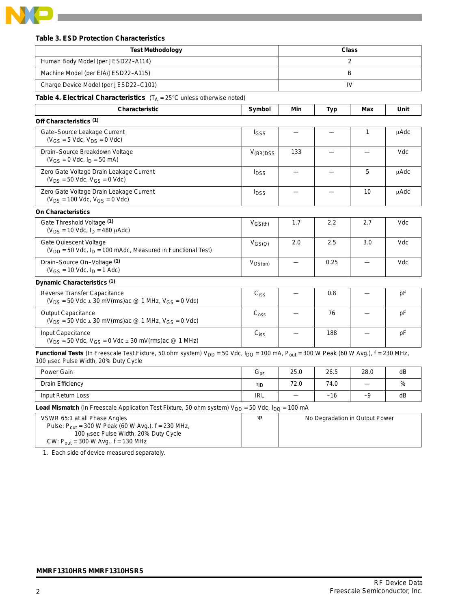

## **Table 3. ESD Protection Characteristics**

| <b>Test Methodology</b>                                                                                                                                                                    |                             | <b>Class</b> |      |      |      |
|--------------------------------------------------------------------------------------------------------------------------------------------------------------------------------------------|-----------------------------|--------------|------|------|------|
| Human Body Model (per JESD22-A114)                                                                                                                                                         |                             | 2            |      |      |      |
| Machine Model (per EIA/JESD22-A115)                                                                                                                                                        |                             | B            |      |      |      |
| Charge Device Model (per JESD22-C101)                                                                                                                                                      |                             |              |      | IV   |      |
| <b>Table 4. Electrical Characteristics</b> $(T_A = 25^{\circ}C \text{ unless otherwise noted})$                                                                                            |                             |              |      |      |      |
| <b>Characteristic</b>                                                                                                                                                                      | Symbol                      | Min          | Typ  | Max  | Unit |
| Off Characteristics (1)                                                                                                                                                                    |                             |              |      |      |      |
| Gate-Source Leakage Current<br>$(V_{GS} = 5$ Vdc, $V_{DS} = 0$ Vdc)                                                                                                                        | I <sub>GSS</sub>            |              |      | 1    | uAdc |
| Drain-Source Breakdown Voltage<br>$(V_{GS} = 0$ Vdc, $I_D = 50$ mA)                                                                                                                        | $V_{(BR)DSS}$               | 133          |      |      | Vdc  |
| Zero Gate Voltage Drain Leakage Current<br>$(V_{DS} = 50$ Vdc, $V_{GS} = 0$ Vdc)                                                                                                           | <b>I</b> <sub>DSS</sub>     |              |      | 5    | uAdc |
| Zero Gate Voltage Drain Leakage Current<br>$(V_{DS} = 100$ Vdc, $V_{GS} = 0$ Vdc)                                                                                                          | <b>I</b> <sub>DSS</sub>     |              |      | 10   | uAdc |
| <b>On Characteristics</b>                                                                                                                                                                  |                             |              |      |      |      |
| Gate Threshold Voltage (1)<br>$(V_{DS} = 10$ Vdc, $I_D = 480$ $\mu$ Adc)                                                                                                                   | $V_{GS(th)}$                | 1.7          | 2.2  | 2.7  | Vdc  |
| Gate Quiescent Voltage<br>$(V_{DD} = 50$ Vdc, $I_D = 100$ mAdc, Measured in Functional Test)                                                                                               | $V_{GS(Q)}$                 | 2.0          | 2.5  | 3.0  | Vdc  |
| Drain-Source On-Voltage (1)<br>$(V_{GS} = 10$ Vdc, $I_D = 1$ Adc)                                                                                                                          | $V_{DS(on)}$                |              | 0.25 |      | Vdc  |
| Dynamic Characteristics (1)                                                                                                                                                                |                             |              |      |      |      |
| <b>Reverse Transfer Capacitance</b><br>$(V_{DS} = 50$ Vdc $\pm$ 30 mV(rms) ac @ 1 MHz, $V_{GS} = 0$ Vdc)                                                                                   | C <sub>rss</sub>            |              | 0.8  |      | рF   |
| Output Capacitance<br>$(V_{DS} = 50$ Vdc $\pm$ 30 mV(rms)ac @ 1 MHz, V <sub>GS</sub> = 0 Vdc)                                                                                              | $\mathrm{C}_{\mathrm{oss}}$ |              | 76   |      | pF   |
| Input Capacitance<br>$(V_{DS} = 50$ Vdc, $V_{GS} = 0$ Vdc $\pm$ 30 mV(rms) ac @ 1 MHz)                                                                                                     | $C_{iss}$                   |              | 188  |      | pF   |
| Functional Tests (In Freescale Test Fixture, 50 ohm system) $V_{DD} = 50$ Vdc, $I_{DQ} = 100$ mA, $P_{out} = 300$ W Peak (60 W Avg.), f = 230 MHz,<br>100 usec Pulse Width, 20% Duty Cycle |                             |              |      |      |      |
| Power Gain                                                                                                                                                                                 | $G_{\text{ps}}$             | 25.0         | 26.5 | 28.0 | dВ   |
| Drain Efficiency                                                                                                                                                                           | ηD                          | 72.0         | 74.0 |      | %    |
| Input Return Loss                                                                                                                                                                          | <b>IRL</b>                  |              | -16  | -9   | dB   |

**Load Mismatch** (In Freescale Application Test Fixture, 50 ohm system) V<sub>DD</sub> = 50 Vdc, I<sub>DQ</sub> = 100 mA

| VSWR 65:1 at all Phase Angles                             | w | No Degradation in Output Power |
|-----------------------------------------------------------|---|--------------------------------|
| Pulse: $P_{out}$ = 300 W Peak (60 W Avg.), $f = 230$ MHz, |   |                                |
| 100 usec Pulse Width, 20% Duty Cycle                      |   |                                |
| CW: $P_{\text{out}}$ = 300 W Avg., f = 130 MHz            |   |                                |

1. Each side of device measured separately.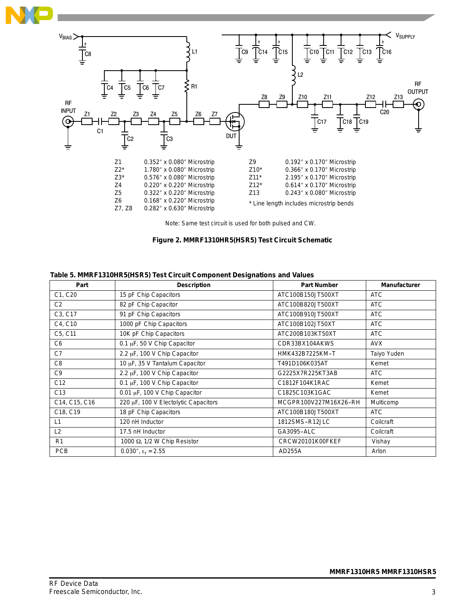



Note: Same test circuit is used for both pulsed and CW.



| Part            | <b>Description</b>                   | <b>Part Number</b>    | <b>Manufacturer</b> |
|-----------------|--------------------------------------|-----------------------|---------------------|
| C1, C20         | 15 pF Chip Capacitors                | ATC100B150JT500XT     | <b>ATC</b>          |
| C2              | 82 pF Chip Capacitor                 | ATC100B820JT500XT     | <b>ATC</b>          |
| C3, C17         | 91 pF Chip Capacitors                | ATC100B910JT500XT     | <b>ATC</b>          |
| C4, C10         | 1000 pF Chip Capacitors              | ATC100B102JT50XT      | <b>ATC</b>          |
| C5, C11         | 10K pF Chip Capacitors               | ATC200B103KT50XT      | <b>ATC</b>          |
| C <sub>6</sub>  | 0.1 µF, 50 V Chip Capacitor          | CDR33BX104AKWS        | <b>AVX</b>          |
| C7              | 2.2 µF, 100 V Chip Capacitor         | HMK432B7225KM-T       | Taiyo Yuden         |
| C8              | 10 µF, 35 V Tantalum Capacitor       | T491D106K035AT        | Kemet               |
| C9              | 2.2 µF, 100 V Chip Capacitor         | G2225X7R225KT3AB      | <b>ATC</b>          |
| C <sub>12</sub> | 0.1 $\mu$ F, 100 V Chip Capacitor    | C1812F104K1RAC        | Kemet               |
| C <sub>13</sub> | 0.01 µF, 100 V Chip Capacitor        | C1825C103K1GAC        | Kemet               |
| C14, C15, C16   | 220 µF, 100 V Electolytic Capacitors | MCGPR100V227M16X26-RH | Multicomp           |
| C18, C19        | 18 pF Chip Capacitors                | ATC100B180JT500XT     | <b>ATC</b>          |
| L1              | 120 nH Inductor                      | 1812SMS-R12JLC        | Coilcraft           |
| L2              | 17.5 nH Inductor                     | GA3095-ALC            | Coilcraft           |
| R1              | 1000 Ω, 1/2 W Chip Resistor          | CRCW20101K00FKEF      | Vishay              |
| <b>PCB</b>      | 0.030", $\epsilon_r = 2.55$          | AD255A                | Arlon               |

## **Table 5. MMRF1310HR5(HSR5) Test Circuit Component Designations and Values**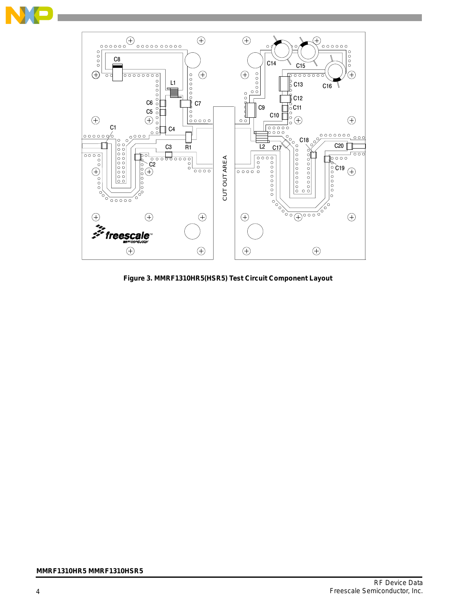



**Figure 3. MMRF1310HR5(HSR5) Test Circuit Component Layout**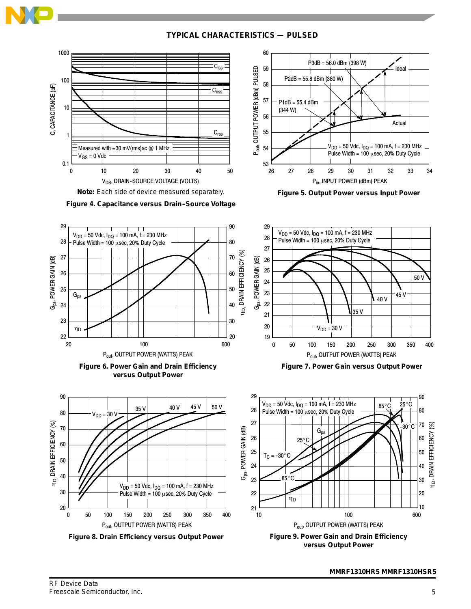

**TYPICAL CHARACTERISTICS — PULSED**

60





**Figure 4. Capacitance versus Drain-Source Voltage** 



**Figure 6. Power Gain and Drain Efficiency versus Output Power**



**Figure 8. Drain Efficiency versus Output Power**

**Figure 5. Output Power versus Input Power**

34



**Figure 7. Power Gain versus Output Power**



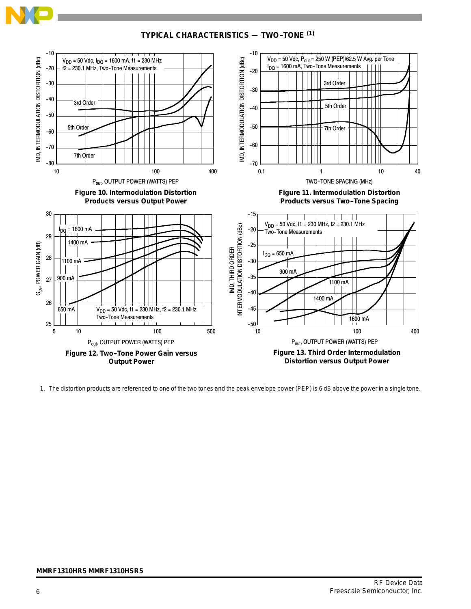**TYPICAL CHARACTERISTICS — TWO--TONE (1)**



1. The distortion products are referenced to one of the two tones and the peak envelope power (PEP) is 6 dB above the power in a single tone.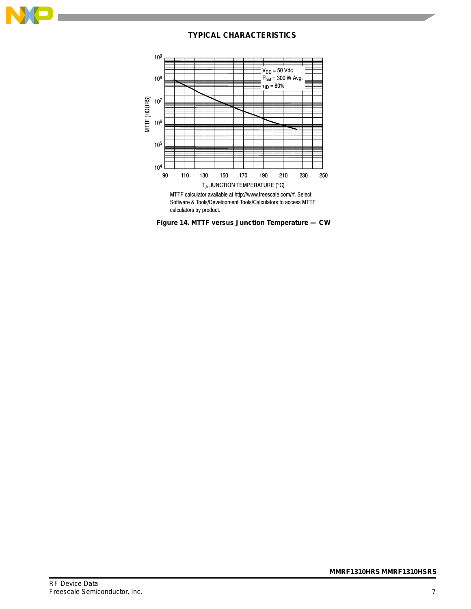

## **TYPICAL CHARACTERISTICS**



**Figure 14. MTTF versus Junction Temperature — CW**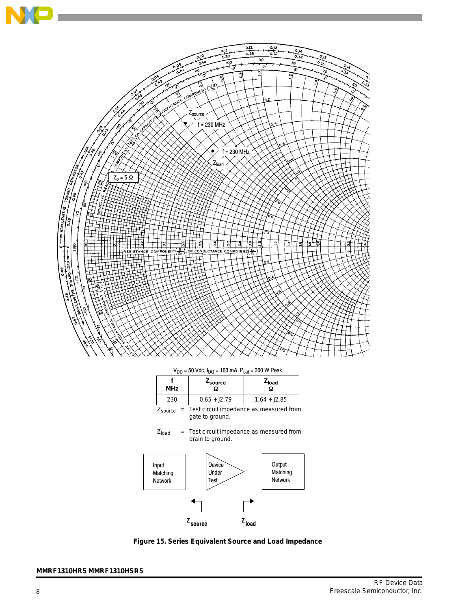

 $V_{DD}$  = 50 Vdc,  $I_{DQ}$  = 100 mA,  $P_{out}$  = 300 W Peak

| <b>MHz</b>          | Z <sub>source</sub><br>Ω                                   | $ZI$ oad<br>Ω |  |  |
|---------------------|------------------------------------------------------------|---------------|--|--|
| 230                 | $0.65 + j2.79$<br>$1.64 + j2.85$                           |               |  |  |
| $Z_{\text{source}}$ | Test circuit impedance as measured from<br>gate to ground. |               |  |  |

 $Z<sub>load</sub>$  = Test circuit impedance as measured from drain to ground.



**Figure 15. Series Equivalent Source and Load Impedance**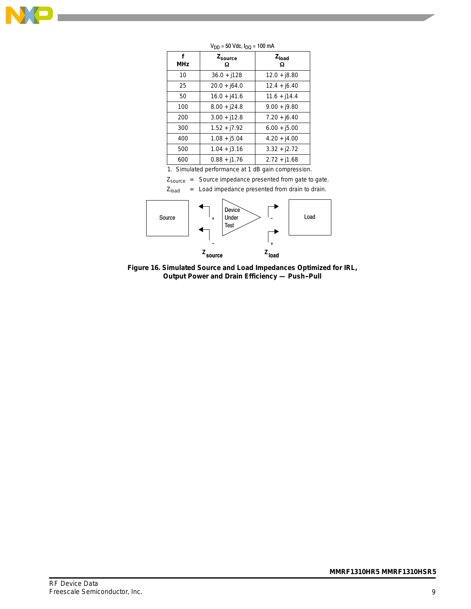

| f<br><b>MHz</b> | Zsource<br>Ω   | $Z_{load}$<br>Ω |
|-----------------|----------------|-----------------|
| 10              | $36.0 + j128$  | $12.0 + j8.80$  |
| 25              | $20.0 + j64.0$ | $12.4 + j6.40$  |
| 50              | $16.0 + j41.6$ | $11.6 + j14.4$  |
| 100             | $8.00 + j24.8$ | $9.00 + j9.80$  |
| 200             | $3.00 + j12.8$ | $7.20 + j6.40$  |
| 300             | $1.52 + j7.92$ | $6.00 + j5.00$  |
| 400             | $1.08 + j5.04$ | $4.20 + j4.00$  |
| 500             | $1.04 + j3.16$ | $3.32 + j2.72$  |
| 600             | $0.88 + j1.76$ | $2.72 + j1.68$  |

 $V_{DD} = 50$  Vdc,  $I_{DQ} = 100$  mA

1. Simulated performance at 1 dB gain compression.

Zsource = Source impedance presented from gate to gate.

 $Z<sub>load</sub>$  = Load impedance presented from drain to drain.



**Figure 16. Simulated Source and Load Impedances Optimized for IRL, Output Power and Drain Efficiency — Push-Pull**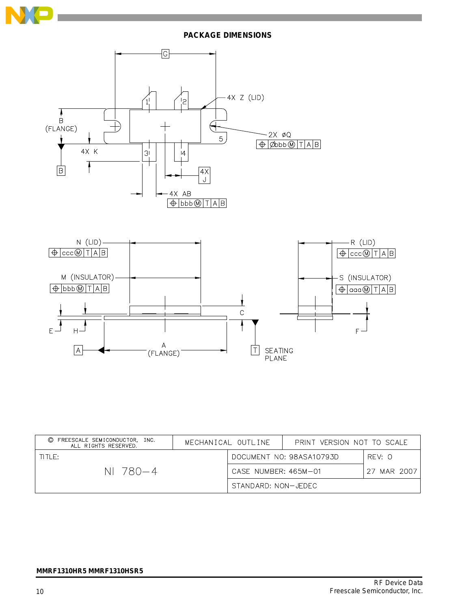

## **PACKAGE DIMENSIONS**



| FREESCALE SEMICONDUCTOR, INC.<br>$\circled{c}$<br>ALL RIGHTS RESERVED. | MECHANICAL OUTLINE |                      | PRINT VERSION NOT TO SCALE |              |
|------------------------------------------------------------------------|--------------------|----------------------|----------------------------|--------------|
| THF:                                                                   |                    |                      | DOCUMENT NO: 98ASA10793D   | RFV: 0       |
| NI 780—4                                                               |                    | CASE NUMBER: 465M-01 |                            | 27 MAR 20071 |
|                                                                        |                    | STANDARD: NON-JEDEC  |                            |              |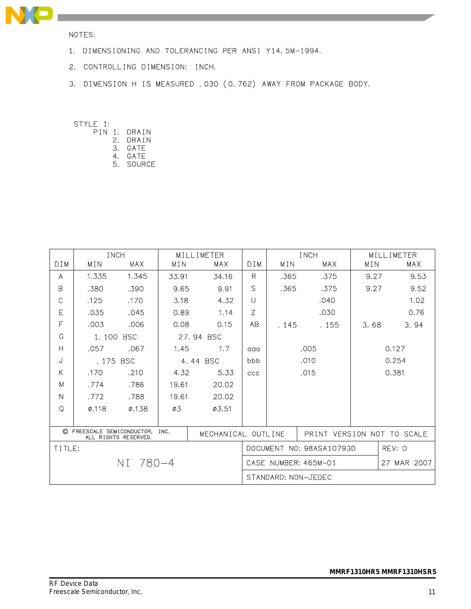

NOTES:

- 1. DIMENSIONING AND TOLERANCING PER ANSI Y14.5M-1994.
- 2. CONTROLLING DIMENSION: INCH.
- 3. DIMENSION H IS MEASURED . 030 (0.762) AWAY FROM PACKAGE BODY.

STYLE 1:

- PIN 1. DRAIN
	- 2. DRAIN
	- 3. GATE 4. GATE
	- 5. SOURCE

|                     | INCH                             |                      |                                    | MILL IMETER |               |       | INCH                 |      | MILL IMETER  |
|---------------------|----------------------------------|----------------------|------------------------------------|-------------|---------------|-------|----------------------|------|--------------|
| D I M               | MIN                              | <b>MAX</b>           | MIN                                | MAX         | D I M         | MIN   | <b>MAX</b>           | MIN  | MAX          |
| A                   | 1.335                            | 1.345                | 33.91                              | 34.16       | R.            | .365  | .375                 | 9.27 | 9.53         |
| B                   | .380                             | .390                 | 9.65                               | 9.91        | $\mathcal{S}$ | .365  | .375                 | 9.27 | 9.52         |
| C                   | .125                             | .170                 | 3.18                               | 4.32        | $\cup$        |       | .040                 |      | 1.02         |
| E                   | .035                             | .045                 | 0.89                               | 1.14        | Z             |       | .030                 |      | 0.76         |
| F                   | .003                             | .006                 | 0.08                               | 0.15        | <b>AB</b>     | . 145 | . 155                | 3.68 | 3.94         |
| G                   | 1.100                            | <b>BSC</b>           |                                    | 27.94 BSC   |               |       |                      |      |              |
| $\overline{H}$      | .057                             | .067                 | 1.45                               | 1.7         | aaa           |       | .005                 |      | 0.127        |
| J                   | .175 BSC                         |                      |                                    | 4.44 BSC    | bbb           |       | .010                 |      | 0.254        |
| Κ                   | .170                             | .210                 | 4.32                               | 5.33        | CCC           |       | .015                 |      | 0.381        |
| M                   | .774                             | .786                 | 19.61                              | 20.02       |               |       |                      |      |              |
| N                   | .772                             | .788                 | 19.61                              | 20.02       |               |       |                      |      |              |
| $\Omega$            | $\phi$ .118                      | $\varphi$ .138       | Ø3                                 | Ø3.51       |               |       |                      |      |              |
|                     |                                  |                      |                                    |             |               |       |                      |      |              |
|                     | © FREESCALE SEMICONDUCTOR,       | ALL RIGHTS RESERVED. | INC.<br>MECHANICAL OUTLINE         |             |               |       | PRINT VERSION NOT TO |      | <b>SCALE</b> |
| TITLE:              |                                  |                      | DOCUMENT NO: 98ASA10793D<br>REV: O |             |               |       |                      |      |              |
|                     | NI 780-4<br>CASE NUMBER: 465M-01 |                      |                                    |             | 27 MAR 2007   |       |                      |      |              |
| STANDARD: NON-JEDEC |                                  |                      |                                    |             |               |       |                      |      |              |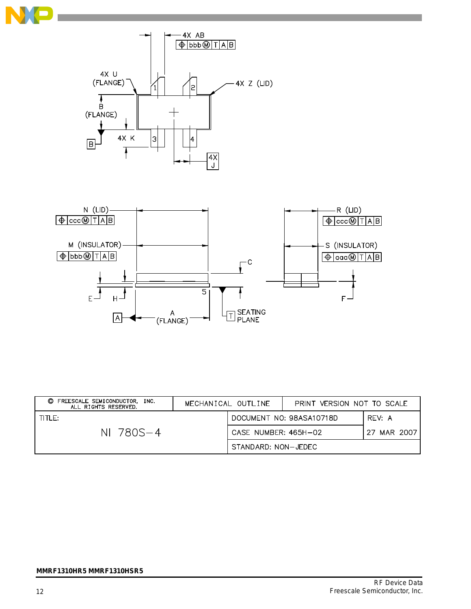



| FREESCALE SEMICONDUCTOR.<br>O.<br>INC.<br>ALL RIGHTS RESERVED. | MECHANICAL OUTLINE |                      | PRINT VERSION NOT TO SCALE |             |
|----------------------------------------------------------------|--------------------|----------------------|----------------------------|-------------|
| TITLE:                                                         |                    |                      | DOCUMENT NO: 98ASA10718D   | RFV: A      |
| NI 780S-4                                                      |                    | CASE NUMBER: 465H-02 |                            | 27 MAR 2007 |
|                                                                |                    | STANDARD: NON-JEDEC  |                            |             |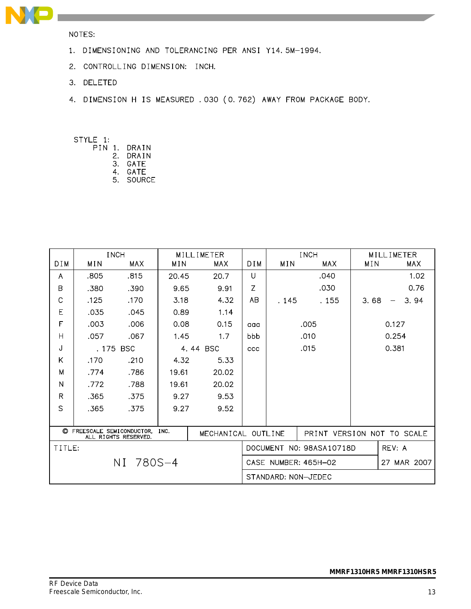

NOTES:

- 1. DIMENSIONING AND TOLERANCING PER ANSI Y14.5M-1994.
- 2. CONTROLLING DIMENSION: INCH.
- 3. DELETED
- 4. DIMENSION H IS MEASURED . 030 (0.762) AWAY FROM PACKAGE BODY.

STYLE 1: PIN

| J | 1. | DRAIN  |
|---|----|--------|
|   | 2. | DRAIN  |
|   | З. | GATF   |
|   | 4. | GATF   |
|   | 5. | SOURCE |
|   |    |        |

|                                                                                  | <b>INCH</b> |      | MILLIMETER |       |                      |                          | <b>INCH</b> |      | MILLIMETER           |          |  |
|----------------------------------------------------------------------------------|-------------|------|------------|-------|----------------------|--------------------------|-------------|------|----------------------|----------|--|
| DIM                                                                              | MIN         | MAX  | MIN        | MAX   | DIM                  | MIN                      | MAX         | MIN  |                      | MAX      |  |
| A                                                                                | .805        | .815 | 20.45      | 20.7  | U                    |                          | .040        |      |                      | 1.02     |  |
| B                                                                                | .380        | .390 | 9.65       | 9.91  | Z                    |                          | .030        |      |                      | 0.76     |  |
| C                                                                                | .125        | .170 | 3.18       | 4.32  | AB                   | . 145                    | . 155       | 3.68 |                      | 3.94     |  |
| E                                                                                | .035        | .045 | 0.89       | 1.14  |                      |                          |             |      |                      |          |  |
| F                                                                                | .003        | .006 | 0.08       | 0.15  | aaa                  |                          | .005        |      | 0.127                |          |  |
| $\overline{H}$                                                                   | .057        | .067 | 1.45       | 1.7   | bbb                  |                          | .010        |      | 0.254                |          |  |
| J                                                                                | .175 BSC    |      | 4.44 BSC   |       | ccc                  |                          | .015        |      | 0.381                |          |  |
| K                                                                                | .170        | .210 | 4.32       | 5.33  |                      |                          |             |      |                      |          |  |
| M                                                                                | .774        | .786 | 19.61      | 20.02 |                      |                          |             |      |                      |          |  |
| N                                                                                | .772        | .788 | 19.61      | 20.02 |                      |                          |             |      |                      |          |  |
| $\mathsf{R}$                                                                     | .365        | .375 | 9.27       | 9.53  |                      |                          |             |      |                      |          |  |
| S                                                                                | .365        | .375 | 9.27       | 9.52  |                      |                          |             |      |                      |          |  |
|                                                                                  |             |      |            |       |                      |                          |             |      |                      |          |  |
| C FREESCALE SEMICONDUCTOR,<br>INC.<br>MECHANICAL OUTLINE<br>ALL RIGHTS RESERVED. |             |      |            |       | <b>PRINT</b>         |                          |             |      | VERSION NOT TO SCALE |          |  |
| TITLE:                                                                           |             |      |            |       |                      | DOCUMENT NO: 98ASA10718D |             |      | REV: A               |          |  |
| NI 780S-4                                                                        |             |      |            |       | CASE NUMBER: 465H-02 |                          |             |      | 27                   | MAR 2007 |  |
|                                                                                  |             |      |            |       |                      | STANDARD: NON-JEDEC      |             |      |                      |          |  |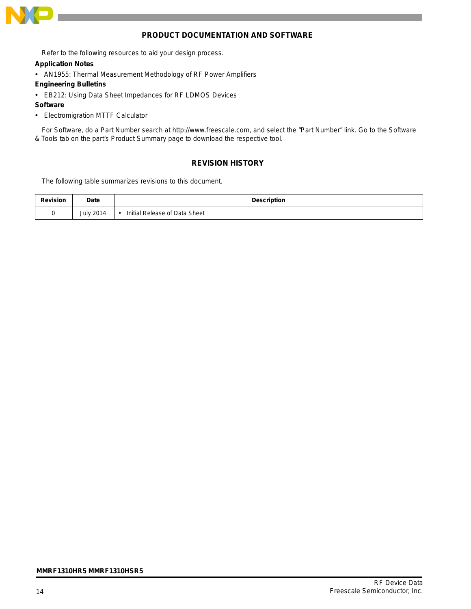

## **PRODUCT DOCUMENTATION AND SOFTWARE**

Refer to the following resources to aid your design process.

## **Application Notes**

- AN1955: Thermal Measurement Methodology of RF Power Amplifiers
- **Engineering Bulletins**
- EB212: Using Data Sheet Impedances for RF LDMOS Devices
- **Software**
- Electromigration MTTF Calculator

For Software, do a Part Number search at http://www.freescale.com, and select the "Part Number" link. Go to the Software & Tools tab on the part's Product Summary page to download the respective tool.

## **REVISION HISTORY**

The following table summarizes revisions to this document.

| <b>Revision</b> | Date             | Description                   |
|-----------------|------------------|-------------------------------|
|                 | <b>July 2014</b> | Initial Release of Data Sheet |